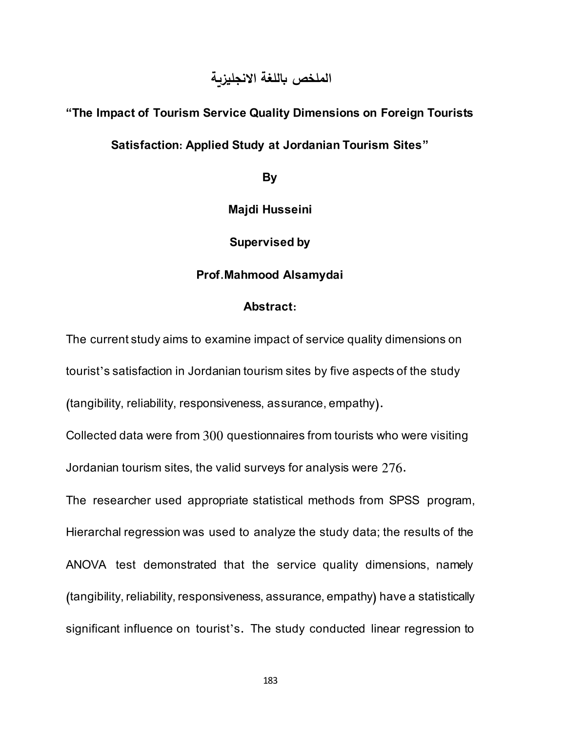## **الملخص باللغة االنجليزية**

# **"The Impact of Tourism Service Quality Dimensions on Foreign Tourists**

### **Satisfaction: Applied Study at Jordanian Tourism Sites"**

**By**

**Majdi Husseini**

**Supervised by**

#### **Prof.Mahmood Alsamydai**

#### **Abstract:**

The current study aims to examine impact of service quality dimensions on tourist's satisfaction in Jordanian tourism sites by five aspects of the study (tangibility, reliability, responsiveness, assurance, empathy).

Collected data were from 300 questionnaires from tourists who were visiting Jordanian tourism sites, the valid surveys for analysis were 276.

The researcher used appropriate statistical methods from SPSS program, Hierarchal regression was used to analyze the study data; the results of the ANOVA test demonstrated that the service quality dimensions, namely (tangibility, reliability, responsiveness, assurance, empathy) have a statistically significant influence on tourist's. The study conducted linear regression to